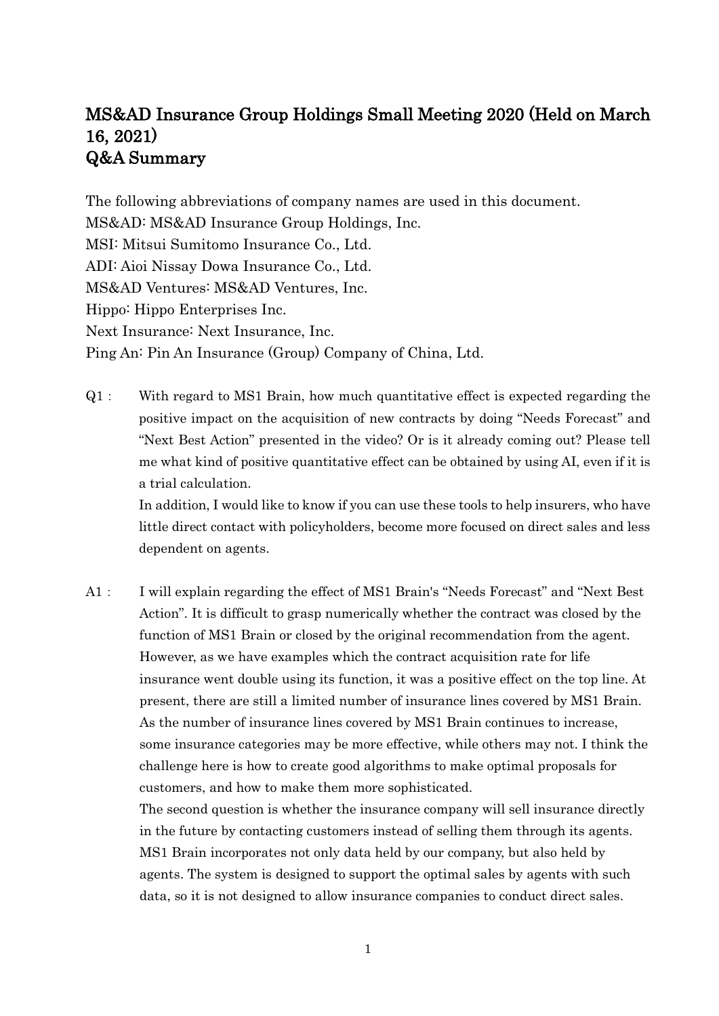## MS&AD Insurance Group Holdings Small Meeting 2020 (Held on March 16, 2021) Q&A Summary

The following abbreviations of company names are used in this document. MS&AD: MS&AD Insurance Group Holdings, Inc. MSI: Mitsui Sumitomo Insurance Co., Ltd. ADI: Aioi Nissay Dowa Insurance Co., Ltd. MS&AD Ventures: MS&AD Ventures, Inc. Hippo: Hippo Enterprises Inc. Next Insurance: Next Insurance, Inc. Ping An: Pin An Insurance (Group) Company of China, Ltd.

Q1: With regard to MS1 Brain, how much quantitative effect is expected regarding the positive impact on the acquisition of new contracts by doing "Needs Forecast" and "Next Best Action" presented in the video? Or is it already coming out? Please tell me what kind of positive quantitative effect can be obtained by using AI, even if it is a trial calculation.

In addition, I would like to know if you can use these tools to help insurers, who have little direct contact with policyholders, become more focused on direct sales and less dependent on agents.

A1: I will explain regarding the effect of MS1 Brain's "Needs Forecast" and "Next Best Action". It is difficult to grasp numerically whether the contract was closed by the function of MS1 Brain or closed by the original recommendation from the agent. However, as we have examples which the contract acquisition rate for life insurance went double using its function, it was a positive effect on the top line. At present, there are still a limited number of insurance lines covered by MS1 Brain. As the number of insurance lines covered by MS1 Brain continues to increase, some insurance categories may be more effective, while others may not. I think the challenge here is how to create good algorithms to make optimal proposals for customers, and how to make them more sophisticated.

The second question is whether the insurance company will sell insurance directly in the future by contacting customers instead of selling them through its agents. MS1 Brain incorporates not only data held by our company, but also held by agents. The system is designed to support the optimal sales by agents with such data, so it is not designed to allow insurance companies to conduct direct sales.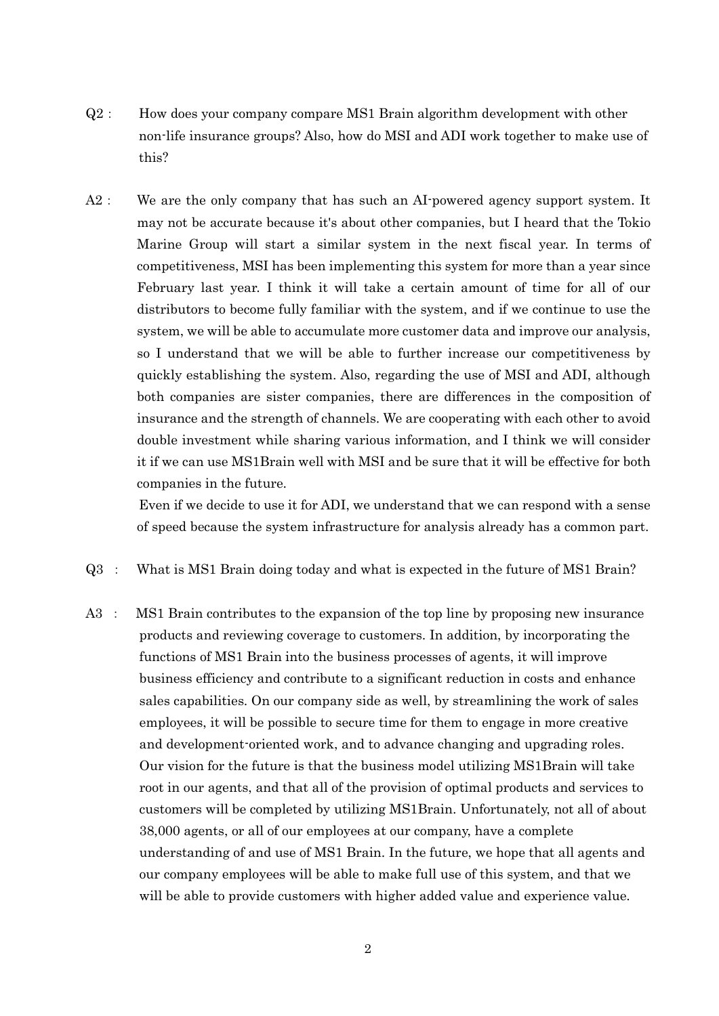- Q2: How does your company compare MS1 Brain algorithm development with other non-life insurance groups? Also, how do MSI and ADI work together to make use of this?
- A2: We are the only company that has such an AI-powered agency support system. It may not be accurate because it's about other companies, but I heard that the Tokio Marine Group will start a similar system in the next fiscal year. In terms of competitiveness, MSI has been implementing this system for more than a year since February last year. I think it will take a certain amount of time for all of our distributors to become fully familiar with the system, and if we continue to use the system, we will be able to accumulate more customer data and improve our analysis, so I understand that we will be able to further increase our competitiveness by quickly establishing the system. Also, regarding the use of MSI and ADI, although both companies are sister companies, there are differences in the composition of insurance and the strength of channels. We are cooperating with each other to avoid double investment while sharing various information, and I think we will consider it if we can use MS1Brain well with MSI and be sure that it will be effective for both companies in the future.

 Even if we decide to use it for ADI, we understand that we can respond with a sense of speed because the system infrastructure for analysis already has a common part.

- Q3 : What is MS1 Brain doing today and what is expected in the future of MS1 Brain?
- A3 : MS1 Brain contributes to the expansion of the top line by proposing new insurance products and reviewing coverage to customers. In addition, by incorporating the functions of MS1 Brain into the business processes of agents, it will improve business efficiency and contribute to a significant reduction in costs and enhance sales capabilities. On our company side as well, by streamlining the work of sales employees, it will be possible to secure time for them to engage in more creative and development-oriented work, and to advance changing and upgrading roles. Our vision for the future is that the business model utilizing MS1Brain will take root in our agents, and that all of the provision of optimal products and services to customers will be completed by utilizing MS1Brain. Unfortunately, not all of about 38,000 agents, or all of our employees at our company, have a complete understanding of and use of MS1 Brain. In the future, we hope that all agents and our company employees will be able to make full use of this system, and that we will be able to provide customers with higher added value and experience value.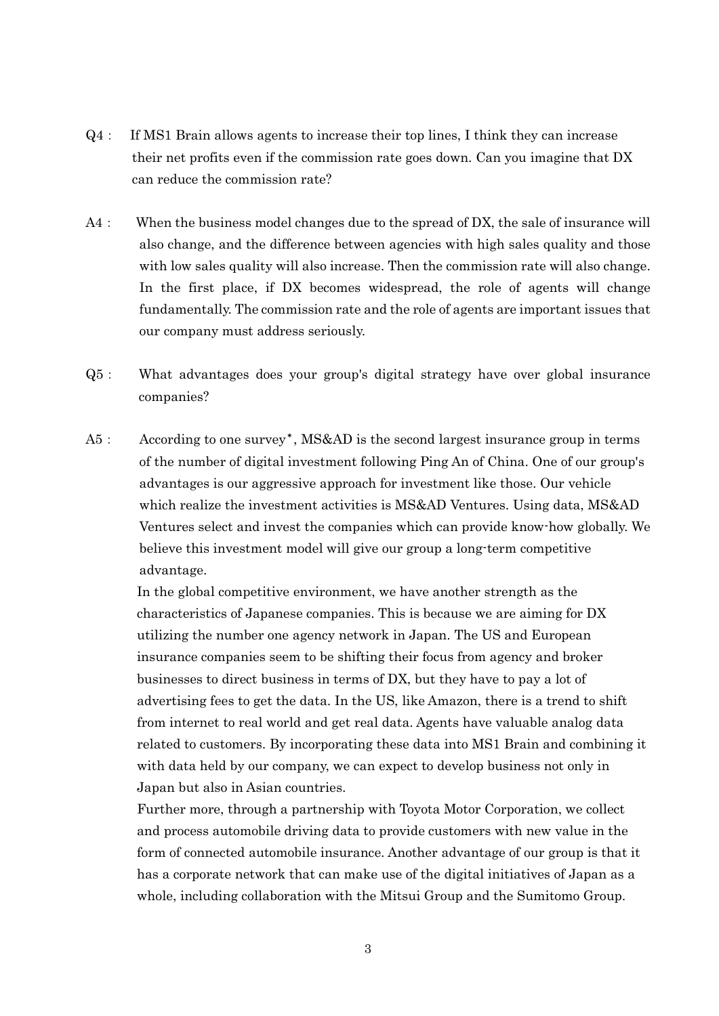- Q4: If MS1 Brain allows agents to increase their top lines, I think they can increase their net profits even if the commission rate goes down. Can you imagine that DX can reduce the commission rate?
- A4: When the business model changes due to the spread of DX, the sale of insurance will also change, and the difference between agencies with high sales quality and those with low sales quality will also increase. Then the commission rate will also change. In the first place, if DX becomes widespread, the role of agents will change fundamentally. The commission rate and the role of agents are important issues that our company must address seriously.
- Q5: What advantages does your group's digital strategy have over global insurance companies?
- A5: According to one survey\*, MS&AD is the second largest insurance group in terms of the number of digital investment following Ping An of China. One of our group's advantages is our aggressive approach for investment like those. Our vehicle which realize the investment activities is MS&AD Ventures. Using data, MS&AD Ventures select and invest the companies which can provide know-how globally. We believe this investment model will give our group a long-term competitive advantage.

In the global competitive environment, we have another strength as the characteristics of Japanese companies. This is because we are aiming for DX utilizing the number one agency network in Japan. The US and European insurance companies seem to be shifting their focus from agency and broker businesses to direct business in terms of DX, but they have to pay a lot of advertising fees to get the data. In the US, like Amazon, there is a trend to shift from internet to real world and get real data. Agents have valuable analog data related to customers. By incorporating these data into MS1 Brain and combining it with data held by our company, we can expect to develop business not only in Japan but also in Asian countries.

Further more, through a partnership with Toyota Motor Corporation, we collect and process automobile driving data to provide customers with new value in the form of connected automobile insurance. Another advantage of our group is that it has a corporate network that can make use of the digital initiatives of Japan as a whole, including collaboration with the Mitsui Group and the Sumitomo Group.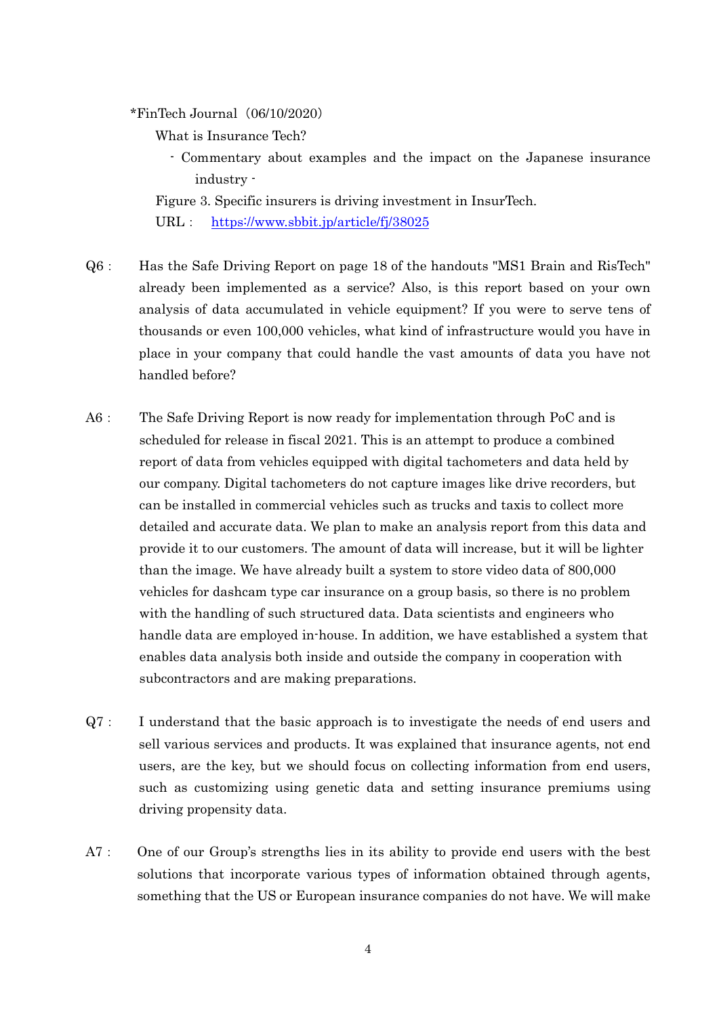$*FinTech Journal (06/10/2020)$ 

What is Insurance Tech?

- Commentary about examples and the impact on the Japanese insurance industry -

Figure 3. Specific insurers is driving investment in InsurTech.

URL: <https://www.sbbit.jp/article/fj/38025>

- Q6: Has the Safe Driving Report on page 18 of the handouts "MS1 Brain and RisTech" already been implemented as a service? Also, is this report based on your own analysis of data accumulated in vehicle equipment? If you were to serve tens of thousands or even 100,000 vehicles, what kind of infrastructure would you have in place in your company that could handle the vast amounts of data you have not handled before?
- A6: The Safe Driving Report is now ready for implementation through PoC and is scheduled for release in fiscal 2021. This is an attempt to produce a combined report of data from vehicles equipped with digital tachometers and data held by our company. Digital tachometers do not capture images like drive recorders, but can be installed in commercial vehicles such as trucks and taxis to collect more detailed and accurate data. We plan to make an analysis report from this data and provide it to our customers. The amount of data will increase, but it will be lighter than the image. We have already built a system to store video data of 800,000 vehicles for dashcam type car insurance on a group basis, so there is no problem with the handling of such structured data. Data scientists and engineers who handle data are employed in-house. In addition, we have established a system that enables data analysis both inside and outside the company in cooperation with subcontractors and are making preparations.
- Q7: I understand that the basic approach is to investigate the needs of end users and sell various services and products. It was explained that insurance agents, not end users, are the key, but we should focus on collecting information from end users, such as customizing using genetic data and setting insurance premiums using driving propensity data.
- A7: One of our Group's strengths lies in its ability to provide end users with the best solutions that incorporate various types of information obtained through agents, something that the US or European insurance companies do not have. We will make